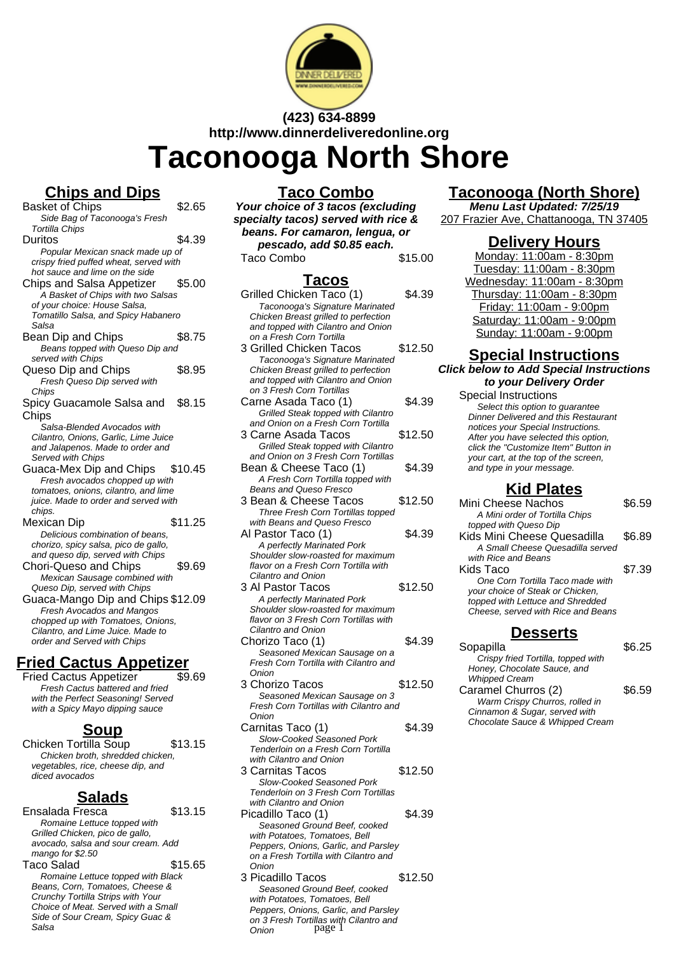

# **(423) 634-8899 http://www.dinnerdeliveredonline.org**

# **Taconooga North Shore**

# **Chips and Dips**

- Basket of Chips \$2.65 Side Bag of Taconooga's Fresh Tortilla Chips Duritos \$4.39 Popular Mexican snack made up of crispy fried puffed wheat, served with hot sauce and lime on the side Chips and Salsa Appetizer \$5.00 A Basket of Chips with two Salsas of your choice: House Salsa, Tomatillo Salsa, and Spicy Habanero Salsa Bean Dip and Chips \$8.75 Beans topped with Queso Dip and served with Chips Queso Dip and Chips \$8.95 Fresh Queso Dip served with Chips Spicy Guacamole Salsa and **Chips** \$8.15 Salsa-Blended Avocados with Cilantro, Onions, Garlic, Lime Juice and Jalapenos. Made to order and Served with Chips Guaca-Mex Dip and Chips \$10.45 Fresh avocados chopped up with tomatoes, onions, cilantro, and lime juice. Made to order and served with .<br>chins. Mexican Dip \$11.25 Delicious combination of beans, chorizo, spicy salsa, pico de gallo, and queso dip, served with Chips Chori-Queso and Chips \$9.69 Mexican Sausage combined with Queso Dip, served with Chips Guaca-Mango Dip and Chips \$12.09 Fresh Avocados and Mangos chopped up with Tomatoes, Onions, Cilantro, and Lime Juice. Made to order and Served with Chips **Fried Cactus Appetizer**
	- Fried Cactus Appetizer Fresh Cactus battered and fried with the Perfect Seasoning! Served with a Spicy Mayo dipping sauce

#### **Soup**

Chicken Tortilla Soup \$13.15 Chicken broth, shredded chicken, vegetables, rice, cheese dip, and diced avocados

#### **Salads**

Ensalada Fresca \$13.15 Romaine Lettuce topped with Grilled Chicken, pico de gallo, avocado, salsa and sour cream. Add mango for \$2.50 Taco Salad \$15.65 Romaine Lettuce topped with Black Beans, Corn, Tomatoes, Cheese & Crunchy Tortilla Strips with Your Choice of Meat. Served with a Small Side of Sour Cream, Spicy Guac & Salsa

### **Taco Combo**

**Your choice of 3 tacos (excluding specialty tacos) served with rice & beans. For camaron, lengua, or pescado, add \$0.85 each.** Taco Combo  $$15.00$ 

#### **Tacos**

- Grilled Chicken Taco (1) \$4.39 Taconooga's Signature Marinated Chicken Breast grilled to perfection and topped with Cilantro and Onion on a Fresh Corn Tortilla
- 3 Grilled Chicken Tacos \$12.50 Taconooga's Signature Marinated Chicken Breast grilled to perfection and topped with Cilantro and Onion on 3 Fresh Corn Tortillas
- Carne Asada Taco (1) \$4.39 Grilled Steak topped with Cilantro and Onion on a Fresh Corn Tortilla
- 3 Carne Asada Tacos \$12.50 Grilled Steak topped with Cilantro and Onion on 3 Fresh Corn Tortillas
- Bean & Cheese Taco (1) \$4.39 A Fresh Corn Tortilla topped with Beans and Queso Fresco
- 3 Bean & Cheese Tacos \$12.50 Three Fresh Corn Tortillas topped with Beans and Queso Fresco
- Al Pastor Taco (1) \$4.39 A perfectly Marinated Pork Shoulder slow-roasted for maximum flavor on a Fresh Corn Tortilla with Cilantro and Onion
- 3 Al Pastor Tacos \$12.50 A perfectly Marinated Pork Shoulder slow-roasted for maximum flavor on 3 Fresh Corn Tortillas with Cilantro and Onion Chorizo Taco (1) \$4.39
- Seasoned Mexican Sausage on a Fresh Corn Tortilla with Cilantro and **Onion**
- 3 Chorizo Tacos \$12.50 Seasoned Mexican Sausage on 3 Fresh Corn Tortillas with Cilantro and Onion
- Carnitas Taco (1) \$4.39 Slow-Cooked Seasoned Pork Tenderloin on a Fresh Corn Tortilla with Cilantro and Onion
- 3 Carnitas Tacos \$12.50 Slow-Cooked Seasoned Pork Tenderloin on 3 Fresh Corn Tortillas with Cilantro and Onion Picadillo Taco (1) \$4.39
- Seasoned Ground Beef, cooked with Potatoes, Tomatoes, Bell Peppers, Onions, Garlic, and Parsley on a Fresh Tortilla with Cilantro and **Onion**
- 3 Picadillo Tacos \$12.50 Seasoned Ground Beef, cooked with Potatoes, Tomatoes, Bell Peppers, Onions, Garlic, and Parsley on 3 Fresh Tortillas with Cilantro and Onion page 1

# **Taconooga (North Shore)**

**Menu Last Updated: 7/25/19** 207 Frazier Ave, Chattanooga, TN 37405

#### **Delivery Hours**

Monday: 11:00am - 8:30pm Tuesday: 11:00am - 8:30pm Wednesday: 11:00am - 8:30pm Thursday: 11:00am - 8:30pm Friday: 11:00am - 9:00pm Saturday: 11:00am - 9:00pm Sunday: 11:00am - 9:00pm

# **Special Instructions**

**Click below to Add Special Instructions to your Delivery Order**

Special Instructions Select this option to quarantee Dinner Delivered and this Restaurant notices your Special Instructions. After you have selected this option, click the "Customize Item" Button in your cart, at the top of the screen, and type in your message.

#### **Kid Plates**

| Mini Cheese Nachos                                                | \$6.59 |
|-------------------------------------------------------------------|--------|
| A Mini order of Tortilla Chips                                    |        |
| topped with Queso Dip                                             |        |
| Kids Mini Cheese Quesadilla                                       | \$6.89 |
| A Small Cheese Quesadilla served                                  |        |
| with Rice and Beans                                               |        |
| Kids Taco                                                         | \$7.39 |
| One Corn Tortilla Taco made with                                  |        |
| your choice of Steak or Chicken,                                  |        |
| topped with Lettuce and Shredded                                  |        |
| Cheese, served with Rice and Beans                                |        |
| <b>Desserts</b>                                                   |        |
| Sopapilla                                                         | S6.25  |
|                                                                   |        |
| Crispy fried Tortilla, topped with<br>Honey, Chocolate Sauce, and |        |
| Whipped Cream                                                     |        |
|                                                                   |        |

Caramel Churros (2) \$6.59 Warm Crispy Churros, rolled in Cinnamon & Sugar, served with Chocolate Sauce & Whipped Cream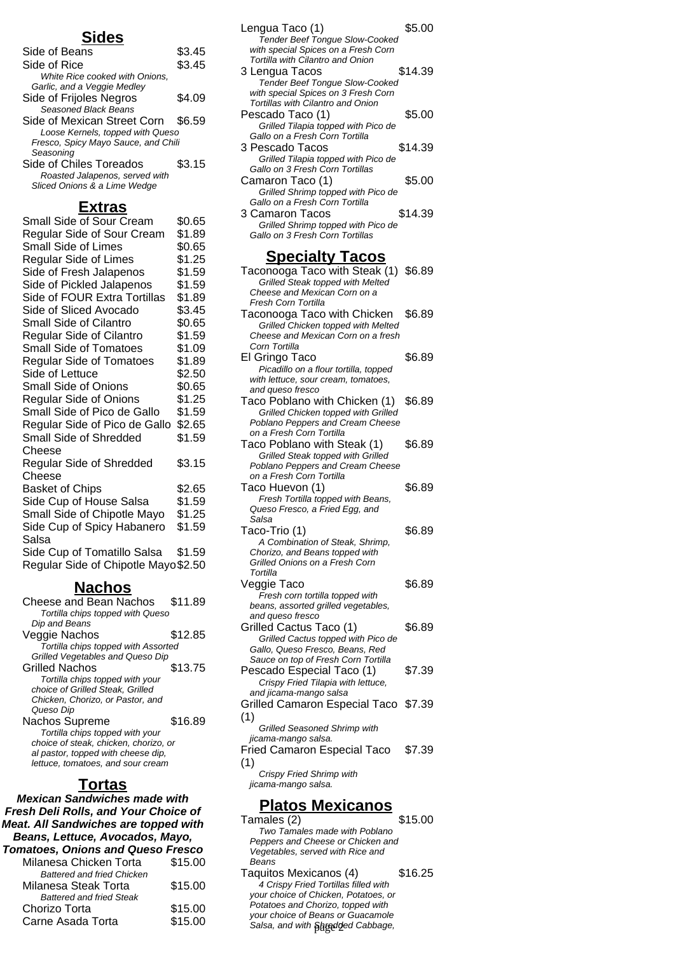#### **Sides**

| Side of Beans                       | \$3.45 |
|-------------------------------------|--------|
| Side of Rice                        | \$3.45 |
| White Rice cooked with Onions,      |        |
| Garlic, and a Veggie Medley         |        |
| Side of Frijoles Negros             | \$4.09 |
| Seasoned Black Beans                |        |
| Side of Mexican Street Corn \$6.59  |        |
| Loose Kernels, topped with Queso    |        |
| Fresco, Spicy Mayo Sauce, and Chili |        |
| Seasoning                           |        |
| Side of Chiles Toreados             | \$3.15 |
| Roasted Jalapenos, served with      |        |
| Sliced Onions & a Lime Wedge        |        |
|                                     |        |

#### **Extras**

| Small Side of Sour Cream             | \$0.65 |
|--------------------------------------|--------|
| Regular Side of Sour Cream           | \$1.89 |
| <b>Small Side of Limes</b>           | \$0.65 |
| <b>Regular Side of Limes</b>         | \$1.25 |
| Side of Fresh Jalapenos              | \$1.59 |
| Side of Pickled Jalapenos            | \$1.59 |
| Side of FOUR Extra Tortillas         | \$1.89 |
| Side of Sliced Avocado               | \$3.45 |
| <b>Small Side of Cilantro</b>        | \$0.65 |
| Regular Side of Cilantro             | \$1.59 |
| <b>Small Side of Tomatoes</b>        | \$1.09 |
| <b>Regular Side of Tomatoes</b>      | \$1.89 |
| Side of Lettuce                      | \$2.50 |
| <b>Small Side of Onions</b>          | \$0.65 |
| <b>Regular Side of Onions</b>        | \$1.25 |
| Small Side of Pico de Gallo          | \$1.59 |
| Regular Side of Pico de Gallo        | \$2.65 |
| <b>Small Side of Shredded</b>        | \$1.59 |
| Cheese                               |        |
| Regular Side of Shredded             | \$3.15 |
| Cheese                               |        |
| <b>Basket of Chips</b>               | \$2.65 |
| Side Cup of House Salsa              | \$1.59 |
| Small Side of Chipotle Mayo          | \$1.25 |
| Side Cup of Spicy Habanero           | \$1.59 |
| Salsa                                |        |
| Side Cup of Tomatillo Salsa          | \$1.59 |
| Regular Side of Chipotle Mayo \$2.50 |        |
|                                      |        |

#### **Nachos**

| Cheese and Bean Nachos                | \$11.89 |
|---------------------------------------|---------|
| Tortilla chips topped with Queso      |         |
| Dip and Beans                         |         |
| Veggie Nachos                         | \$12.85 |
| Tortilla chips topped with Assorted   |         |
| Grilled Vegetables and Queso Dip      |         |
| Grilled Nachos                        | \$13.75 |
| Tortilla chips topped with your       |         |
| choice of Grilled Steak, Grilled      |         |
| Chicken, Chorizo, or Pastor, and      |         |
| Queso Dip                             |         |
| Nachos Supreme                        | \$16.89 |
| Tortilla chips topped with your       |         |
| choice of steak, chicken, chorizo, or |         |
| al pastor, topped with cheese dip.    |         |
| lettuce, tomatoes, and sour cream     |         |
|                                       |         |

#### **Tortas**

**Mexican Sandwiches made with Fresh Deli Rolls, and Your Choice of Meat. All Sandwiches are topped with Beans, Lettuce, Avocados, Mayo, Tomatoes, Onions and Queso Fresco** Milanesa Chicken Torta \$15.00 Battered and fried Chicken Milanesa Steak Torta \$15.00 Battered and fried Steak Chorizo Torta \$15.00

Carne Asada Torta \$15.00

| Lengua Taco (1)<br><b>Tender Beef Tongue Slow-Cooked</b> | \$5.00  |
|----------------------------------------------------------|---------|
| with special Spices on a Fresh Corn                      |         |
| Tortilla with Cilantro and Onion                         |         |
| 3 Lengua Tacos                                           | \$14.39 |
| <b>Tender Beef Tongue Slow-Cooked</b>                    |         |
| with special Spices on 3 Fresh Corn                      |         |
| Tortillas with Cilantro and Onion                        |         |
| Pescado Taco (1)                                         | \$5.00  |
| Grilled Tilapia topped with Pico de                      |         |
| Gallo on a Fresh Corn Tortilla                           |         |
| 3 Pescado Tacos                                          | \$14.39 |
| Grilled Tilapia topped with Pico de                      |         |
| Gallo on 3 Fresh Corn Tortillas                          |         |
| Camaron Taco (1)                                         | \$5.00  |
| Grilled Shrimp topped with Pico de                       |         |
| Gallo on a Fresh Corn Tortilla                           |         |
|                                                          |         |

3 Camaron Tacos \$14.39 Grilled Shrimp topped with Pico de Gallo on 3 Fresh Corn Tortillas

#### **Specialty Tacos**

| Taconooga Taco with Steak (1) \$6.89            |        |
|-------------------------------------------------|--------|
| Grilled Steak topped with Melted                |        |
| Cheese and Mexican Corn on a                    |        |
| Fresh Corn Tortilla                             |        |
| Taconooga Taco with Chicken                     | \$6.89 |
| Grilled Chicken topped with Melted              |        |
| Cheese and Mexican Corn on a fresh              |        |
| Corn Tortilla                                   |        |
| El Gringo Taco                                  | \$6.89 |
| Picadillo on a flour tortilla, topped           |        |
| with lettuce, sour cream, tomatoes,             |        |
| and queso fresco                                |        |
| Taco Poblano with Chicken (1)                   | \$6.89 |
| Grilled Chicken topped with Grilled             |        |
| Poblano Peppers and Cream Cheese                |        |
| on a Fresh Corn Tortilla                        |        |
| Taco Poblano with Steak (1)                     | \$6.89 |
| Grilled Steak topped with Grilled               |        |
| Poblano Peppers and Cream Cheese                |        |
| on a Fresh Corn Tortilla                        |        |
| Taco Huevon (1)                                 | \$6.89 |
| Fresh Tortilla topped with Beans,               |        |
| Queso Fresco, a Fried Egg, and                  |        |
| Salsa                                           |        |
| Taco-Trio (1)                                   | \$6.89 |
| A Combination of Steak, Shrimp,                 |        |
| Chorizo, and Beans topped with                  |        |
| Grilled Onions on a Fresh Corn                  |        |
| Tortilla                                        |        |
| Veggie Taco                                     | \$6.89 |
| Fresh corn tortilla topped with                 |        |
| beans, assorted grilled vegetables,             |        |
| and queso fresco                                |        |
| Grilled Cactus Taco (1)                         | \$6.89 |
| Grilled Cactus topped with Pico de              |        |
| Gallo, Queso Fresco, Beans, Red                 |        |
| Sauce on top of Fresh Corn Tortilla             |        |
| Pescado Especial Taco (1)                       | \$7.39 |
| Crispy Fried Tilapia with lettuce,              |        |
| and jicama-mango salsa                          |        |
| Grilled Camaron Especial Taco \$7.39            |        |
| (1)                                             |        |
| Grilled Seasoned Shrimp with                    |        |
| jicama-mango salsa.                             |        |
| <b>Fried Camaron Especial Taco</b>              | \$7.39 |
| (1)                                             |        |
|                                                 |        |
| Crispy Fried Shrimp with<br>jicama-mango salsa. |        |
|                                                 |        |

#### **Platos Mexicanos**

| \$15.00                              |
|--------------------------------------|
|                                      |
| Peppers and Cheese or Chicken and    |
|                                      |
|                                      |
| \$16.25                              |
|                                      |
| your choice of Chicken, Potatoes, or |
|                                      |
|                                      |
|                                      |
|                                      |